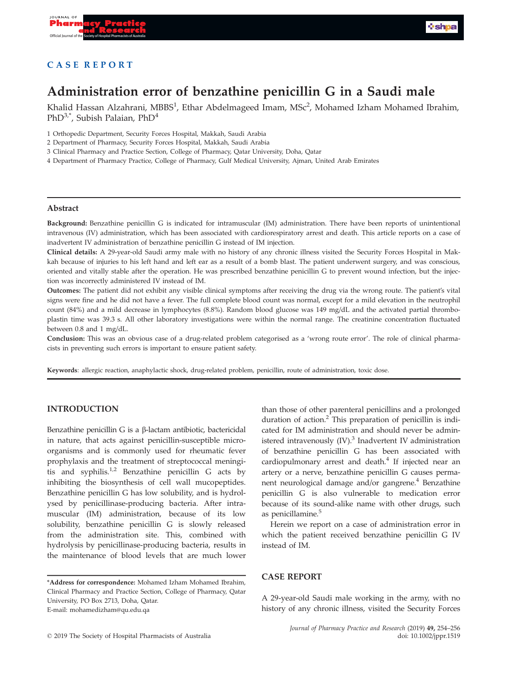

# CASE REPORT

# Administration error of benzathine penicillin G in a Saudi male

Khalid Hassan Alzahrani, MBBS<sup>1</sup>, Ethar Abdelmageed Imam, MSc<sup>2</sup>, Mohamed Izham Mohamed Ibrahim, PhD<sup>3,\*</sup>, Subish Palaian, PhD<sup>4</sup>

- 1 Orthopedic Department, Security Forces Hospital, Makkah, Saudi Arabia
- 2 Department of Pharmacy, Security Forces Hospital, Makkah, Saudi Arabia
- 3 Clinical Pharmacy and Practice Section, College of Pharmacy, Qatar University, Doha, Qatar
- 4 Department of Pharmacy Practice, College of Pharmacy, Gulf Medical University, Ajman, United Arab Emirates

#### Abstract

Background: Benzathine penicillin G is indicated for intramuscular (IM) administration. There have been reports of unintentional intravenous (IV) administration, which has been associated with cardiorespiratory arrest and death. This article reports on a case of inadvertent IV administration of benzathine penicillin G instead of IM injection.

Clinical details: A 29-year-old Saudi army male with no history of any chronic illness visited the Security Forces Hospital in Makkah because of injuries to his left hand and left ear as a result of a bomb blast. The patient underwent surgery, and was conscious, oriented and vitally stable after the operation. He was prescribed benzathine penicillin G to prevent wound infection, but the injection was incorrectly administered IV instead of IM.

Outcomes: The patient did not exhibit any visible clinical symptoms after receiving the drug via the wrong route. The patient's vital signs were fine and he did not have a fever. The full complete blood count was normal, except for a mild elevation in the neutrophil count (84%) and a mild decrease in lymphocytes (8.8%). Random blood glucose was 149 mg/dL and the activated partial thromboplastin time was 39.3 s. All other laboratory investigations were within the normal range. The creatinine concentration fluctuated between 0.8 and 1 mg/dL.

Conclusion: This was an obvious case of a drug-related problem categorised as a 'wrong route error'. The role of clinical pharmacists in preventing such errors is important to ensure patient safety.

Keywords: allergic reaction, anaphylactic shock, drug-related problem, penicillin, route of administration, toxic dose.

## INTRODUCTION

Benzathine penicillin G is a b-lactam antibiotic, bactericidal in nature, that acts against penicillin-susceptible microorganisms and is commonly used for rheumatic fever prophylaxis and the treatment of streptococcal meningitis and syphilis.<sup>1,2</sup> Benzathine penicillin G acts by inhibiting the biosynthesis of cell wall mucopeptides. Benzathine penicillin G has low solubility, and is hydrolysed by penicillinase-producing bacteria. After intramuscular (IM) administration, because of its low solubility, benzathine penicillin G is slowly released from the administration site. This, combined with hydrolysis by penicillinase-producing bacteria, results in the maintenance of blood levels that are much lower

than those of other parenteral penicillins and a prolonged duration of action.<sup>2</sup> This preparation of penicillin is indicated for IM administration and should never be administered intravenously (IV).<sup>3</sup> Inadvertent IV administration of benzathine penicillin G has been associated with cardiopulmonary arrest and death.<sup>4</sup> If injected near an artery or a nerve, benzathine penicillin G causes permanent neurological damage and/or gangrene.<sup>4</sup> Benzathine penicillin G is also vulnerable to medication error because of its sound-alike name with other drugs, such as penicillamine.<sup>5</sup>

Herein we report on a case of administration error in which the patient received benzathine penicillin G IV instead of IM.

## CASE REPORT

A 29-year-old Saudi male working in the army, with no history of any chronic illness, visited the Security Forces

<sup>\*</sup>Address for correspondence: Mohamed Izham Mohamed Ibrahim, Clinical Pharmacy and Practice Section, College of Pharmacy, Qatar University, PO Box 2713, Doha, Qatar. E-mail: mohamedizham@qu.edu.qa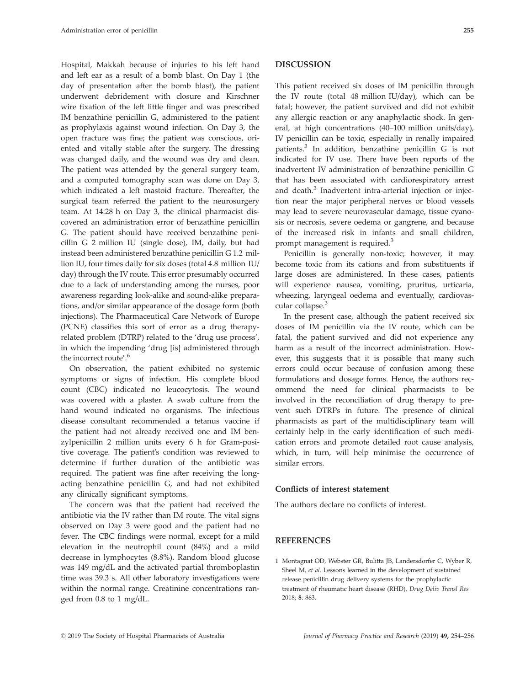Hospital, Makkah because of injuries to his left hand and left ear as a result of a bomb blast. On Day 1 (the day of presentation after the bomb blast), the patient underwent debridement with closure and Kirschner wire fixation of the left little finger and was prescribed IM benzathine penicillin G, administered to the patient as prophylaxis against wound infection. On Day 3, the open fracture was fine; the patient was conscious, oriented and vitally stable after the surgery. The dressing was changed daily, and the wound was dry and clean. The patient was attended by the general surgery team, and a computed tomography scan was done on Day 3, which indicated a left mastoid fracture. Thereafter, the surgical team referred the patient to the neurosurgery team. At 14:28 h on Day 3, the clinical pharmacist discovered an administration error of benzathine penicillin G. The patient should have received benzathine penicillin G 2 million IU (single dose), IM, daily, but had instead been administered benzathine penicillin G 1.2 million IU, four times daily for six doses (total 4.8 million IU/ day) through the IV route. This error presumably occurred due to a lack of understanding among the nurses, poor awareness regarding look-alike and sound-alike preparations, and/or similar appearance of the dosage form (both injections). The Pharmaceutical Care Network of Europe (PCNE) classifies this sort of error as a drug therapyrelated problem (DTRP) related to the 'drug use process', in which the impending 'drug [is] administered through the incorrect route'. 6

On observation, the patient exhibited no systemic symptoms or signs of infection. His complete blood count (CBC) indicated no leucocytosis. The wound was covered with a plaster. A swab culture from the hand wound indicated no organisms. The infectious disease consultant recommended a tetanus vaccine if the patient had not already received one and IM benzylpenicillin 2 million units every 6 h for Gram-positive coverage. The patient's condition was reviewed to determine if further duration of the antibiotic was required. The patient was fine after receiving the longacting benzathine penicillin G, and had not exhibited any clinically significant symptoms.

The concern was that the patient had received the antibiotic via the IV rather than IM route. The vital signs observed on Day 3 were good and the patient had no fever. The CBC findings were normal, except for a mild elevation in the neutrophil count (84%) and a mild decrease in lymphocytes (8.8%). Random blood glucose was 149 mg/dL and the activated partial thromboplastin time was 39.3 s. All other laboratory investigations were within the normal range. Creatinine concentrations ranged from 0.8 to 1 mg/dL.

#### DISCUSSION

This patient received six doses of IM penicillin through the IV route (total 48 million IU/day), which can be fatal; however, the patient survived and did not exhibit any allergic reaction or any anaphylactic shock. In general, at high concentrations (40–100 million units/day), IV penicillin can be toxic, especially in renally impaired patients.<sup>3</sup> In addition, benzathine penicillin G is not indicated for IV use. There have been reports of the inadvertent IV administration of benzathine penicillin G that has been associated with cardiorespiratory arrest and death.<sup>3</sup> Inadvertent intra-arterial injection or injection near the major peripheral nerves or blood vessels may lead to severe neurovascular damage, tissue cyanosis or necrosis, severe oedema or gangrene, and because of the increased risk in infants and small children, prompt management is required.<sup>3</sup>

Penicillin is generally non-toxic; however, it may become toxic from its cations and from substituents if large doses are administered. In these cases, patients will experience nausea, vomiting, pruritus, urticaria, wheezing, laryngeal oedema and eventually, cardiovascular collapse.<sup>3</sup>

In the present case, although the patient received six doses of IM penicillin via the IV route, which can be fatal, the patient survived and did not experience any harm as a result of the incorrect administration. However, this suggests that it is possible that many such errors could occur because of confusion among these formulations and dosage forms. Hence, the authors recommend the need for clinical pharmacists to be involved in the reconciliation of drug therapy to prevent such DTRPs in future. The presence of clinical pharmacists as part of the multidisciplinary team will certainly help in the early identification of such medication errors and promote detailed root cause analysis, which, in turn, will help minimise the occurrence of similar errors.

#### Conflicts of interest statement

The authors declare no conflicts of interest.

### REFERENCES

1 Montagnat OD, Webster GR, Bulitta JB, Landersdorfer C, Wyber R, Sheel M, et al. Lessons learned in the development of sustained release penicillin drug delivery systems for the prophylactic treatment of rheumatic heart disease (RHD). Drug Deliv Transl Res 2018; 8: 863.